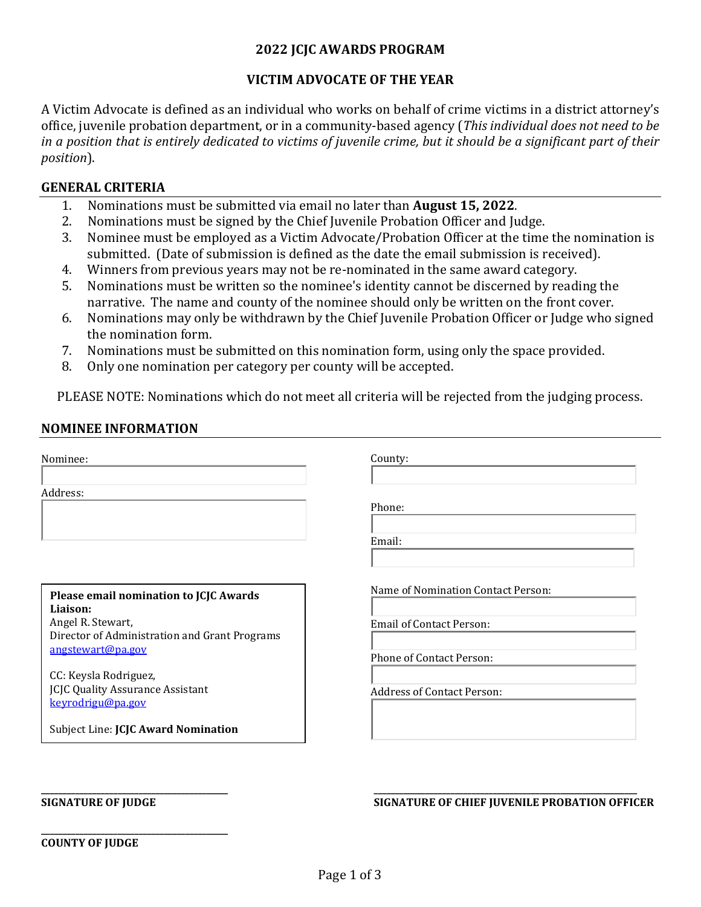### **2022 JCJC AWARDS PROGRAM**

### **VICTIM ADVOCATE OF THE YEAR**

A Victim Advocate is defined as an individual who works on behalf of crime victims in a district attorney's office, juvenile probation department, or in a community-based agency (*This individual does not need to be in a position that is entirely dedicated to victims of juvenile crime, but it should be a significant part of their position*).

#### **GENERAL CRITERIA**

- 1. Nominations must be submitted via email no later than **August 15, 2022**.
- 2. Nominations must be signed by the Chief Juvenile Probation Officer and Judge.<br>3. Nominee must be emploved as a Victim Advocate/Probation Officer at the time
- 3. Nominee must be employed as a Victim Advocate/Probation Officer at the time the nomination is submitted. (Date of submission is defined as the date the email submission is received).
- 4. Winners from previous years may not be re-nominated in the same award category.<br>5. Nominations must be written so the nominee's identity cannot be discerned by read
- 5. Nominations must be written so the nominee's identity cannot be discerned by reading the narrative. The name and county of the nominee should only be written on the front cover.
- 6. Nominations may only be withdrawn by the Chief Juvenile Probation Officer or Judge who signed the nomination form.
- 7. Nominations must be submitted on this nomination form, using only the space provided.<br>8. Only one nomination per category per county will be accepted.
- Only one nomination per category per county will be accepted.

PLEASE NOTE: Nominations which do not meet all criteria will be rejected from the judging process.

### **NOMINEE INFORMATION**

Nominee:

Address:

**Please email nomination to JCJC Awards Liaison:** Angel R. Stewart, Director of Administration and Grant Programs [angstewart@pa.gov](mailto:angstewart@pa.gov)

CC: Keysla Rodriguez, JCJC Quality Assurance Assistant [keyrodrigu@pa.gov](mailto:keyrodrigu@pa.gov)

Subject Line: **JCJC Award Nomination** 

County:

Phone:

Email:

Name of Nomination Contact Person:

Email of Contact Person:

Phone of Contact Person:

Address of Contact Person:

**\_\_\_\_\_\_\_\_\_\_\_\_\_\_\_\_\_\_\_\_\_\_\_\_\_\_\_\_\_\_\_\_\_\_\_\_\_\_\_\_\_\_\_\_ \_\_\_\_\_\_\_\_\_\_\_\_\_\_\_\_\_\_\_\_\_\_\_\_\_\_\_\_\_\_\_\_\_\_\_\_\_\_\_\_\_\_\_\_\_\_\_\_\_\_\_\_\_\_\_\_\_\_\_\_\_\_ SIGNATURE OF JUDGE SIGNATURE OF CHIEF JUVENILE PROBATION OFFICER**

**\_\_\_\_\_\_\_\_\_\_\_\_\_\_\_\_\_\_\_\_\_\_\_\_\_\_\_\_\_\_\_\_\_\_\_\_\_\_\_\_\_\_\_\_ COUNTY OF JUDGE**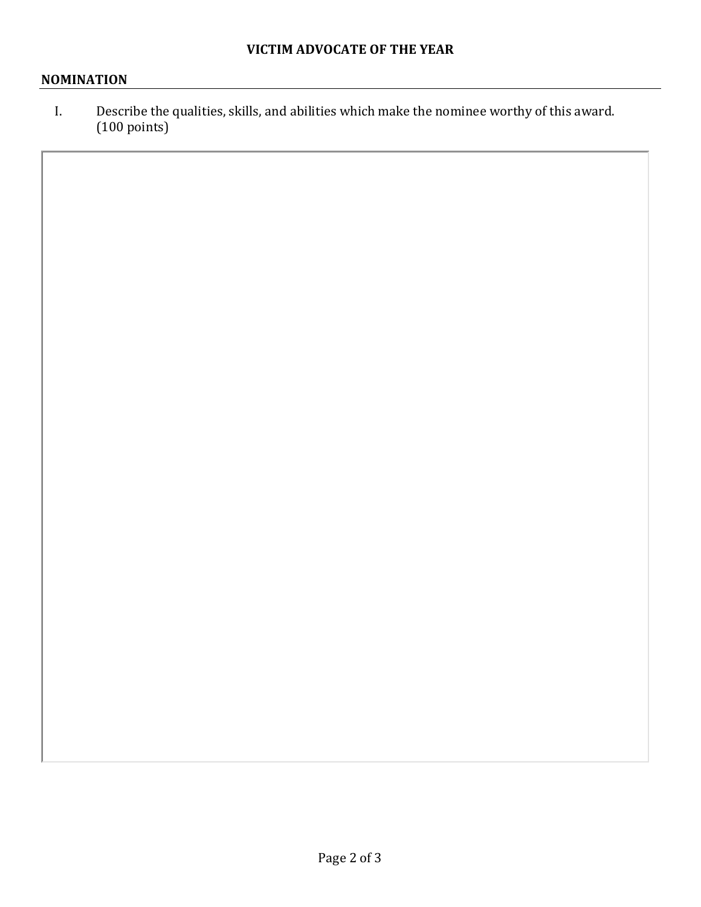## **NOMINATION**

I. Describe the qualities, skills, and abilities which make the nominee worthy of this award. (100 points)